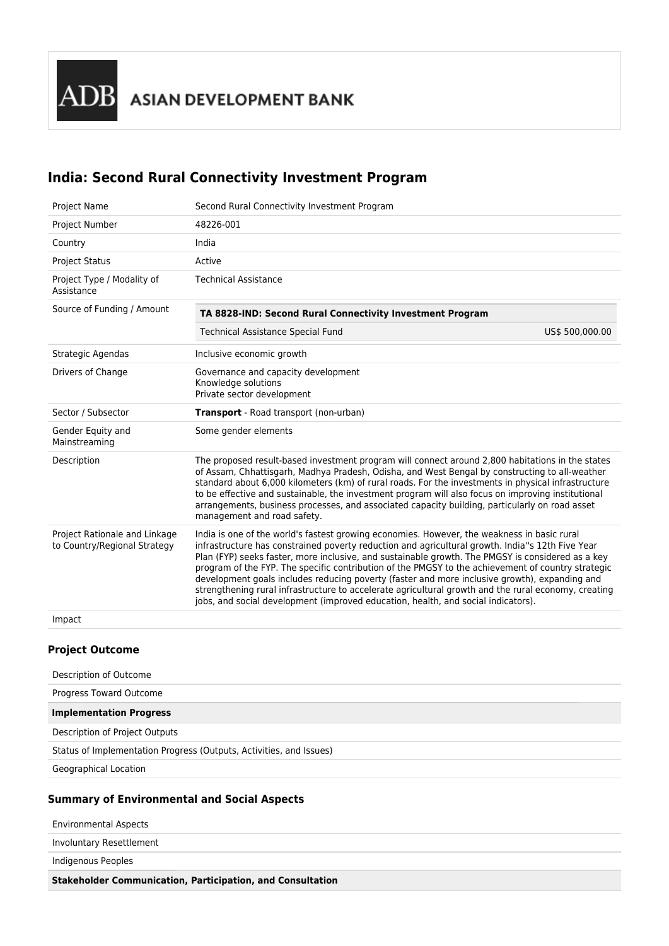# **India: Second Rural Connectivity Investment Program**

| Project Name                                                  | Second Rural Connectivity Investment Program                                                                                                                                                                                                                                                                                                                                                                                                                                                                                                                                                                                                                                                             |                 |  |  |  |
|---------------------------------------------------------------|----------------------------------------------------------------------------------------------------------------------------------------------------------------------------------------------------------------------------------------------------------------------------------------------------------------------------------------------------------------------------------------------------------------------------------------------------------------------------------------------------------------------------------------------------------------------------------------------------------------------------------------------------------------------------------------------------------|-----------------|--|--|--|
| Project Number                                                | 48226-001                                                                                                                                                                                                                                                                                                                                                                                                                                                                                                                                                                                                                                                                                                |                 |  |  |  |
| Country                                                       | India                                                                                                                                                                                                                                                                                                                                                                                                                                                                                                                                                                                                                                                                                                    |                 |  |  |  |
| <b>Project Status</b>                                         | Active                                                                                                                                                                                                                                                                                                                                                                                                                                                                                                                                                                                                                                                                                                   |                 |  |  |  |
| Project Type / Modality of<br>Assistance                      | <b>Technical Assistance</b>                                                                                                                                                                                                                                                                                                                                                                                                                                                                                                                                                                                                                                                                              |                 |  |  |  |
| Source of Funding / Amount                                    | TA 8828-IND: Second Rural Connectivity Investment Program                                                                                                                                                                                                                                                                                                                                                                                                                                                                                                                                                                                                                                                |                 |  |  |  |
|                                                               | <b>Technical Assistance Special Fund</b>                                                                                                                                                                                                                                                                                                                                                                                                                                                                                                                                                                                                                                                                 | US\$ 500,000.00 |  |  |  |
| Strategic Agendas                                             | Inclusive economic growth                                                                                                                                                                                                                                                                                                                                                                                                                                                                                                                                                                                                                                                                                |                 |  |  |  |
| Drivers of Change                                             | Governance and capacity development<br>Knowledge solutions<br>Private sector development                                                                                                                                                                                                                                                                                                                                                                                                                                                                                                                                                                                                                 |                 |  |  |  |
| Sector / Subsector                                            | Transport - Road transport (non-urban)                                                                                                                                                                                                                                                                                                                                                                                                                                                                                                                                                                                                                                                                   |                 |  |  |  |
| Gender Equity and<br>Mainstreaming                            | Some gender elements                                                                                                                                                                                                                                                                                                                                                                                                                                                                                                                                                                                                                                                                                     |                 |  |  |  |
| Description                                                   | The proposed result-based investment program will connect around 2,800 habitations in the states<br>of Assam, Chhattisgarh, Madhya Pradesh, Odisha, and West Bengal by constructing to all-weather<br>standard about 6,000 kilometers (km) of rural roads. For the investments in physical infrastructure<br>to be effective and sustainable, the investment program will also focus on improving institutional<br>arrangements, business processes, and associated capacity building, particularly on road asset<br>management and road safety.                                                                                                                                                         |                 |  |  |  |
| Project Rationale and Linkage<br>to Country/Regional Strategy | India is one of the world's fastest growing economies. However, the weakness in basic rural<br>infrastructure has constrained poverty reduction and agricultural growth. India"s 12th Five Year<br>Plan (FYP) seeks faster, more inclusive, and sustainable growth. The PMGSY is considered as a key<br>program of the FYP. The specific contribution of the PMGSY to the achievement of country strategic<br>development goals includes reducing poverty (faster and more inclusive growth), expanding and<br>strengthening rural infrastructure to accelerate agricultural growth and the rural economy, creating<br>jobs, and social development (improved education, health, and social indicators). |                 |  |  |  |
| Impact                                                        |                                                                                                                                                                                                                                                                                                                                                                                                                                                                                                                                                                                                                                                                                                          |                 |  |  |  |

#### **Project Outcome**

| Description of Outcome                                              |  |
|---------------------------------------------------------------------|--|
| Progress Toward Outcome                                             |  |
| <b>Implementation Progress</b>                                      |  |
| Description of Project Outputs                                      |  |
| Status of Implementation Progress (Outputs, Activities, and Issues) |  |
| Geographical Location                                               |  |

## **Summary of Environmental and Social Aspects**

| <b>Environmental Aspects</b> |  |
|------------------------------|--|
| Involuntary Resettlement     |  |
| Indigenous Peoples           |  |
| .<br>.                       |  |

**Stakeholder Communication, Participation, and Consultation**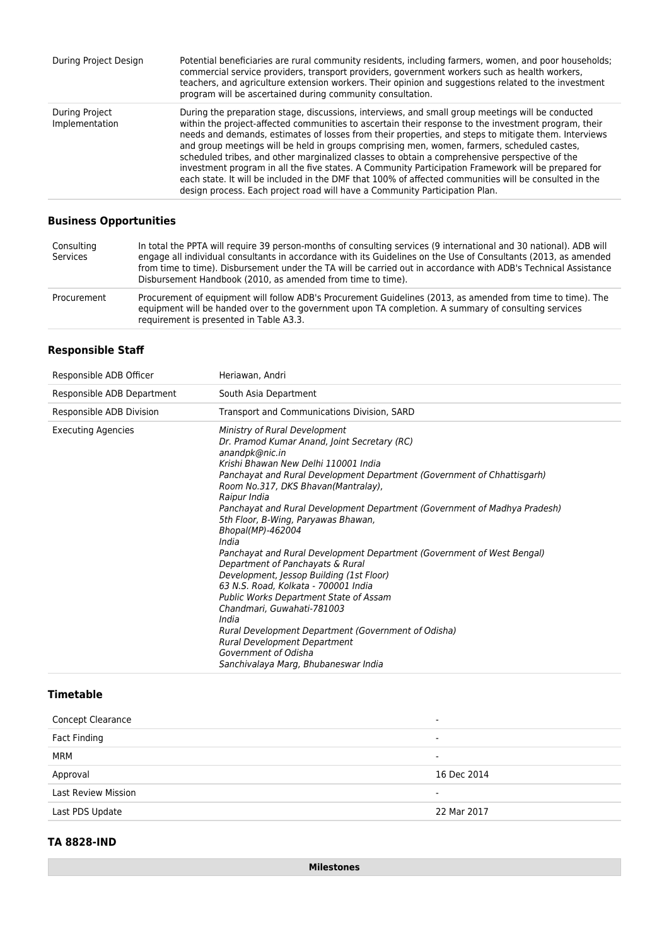| During Project Design            | Potential beneficiaries are rural community residents, including farmers, women, and poor households;<br>commercial service providers, transport providers, government workers such as health workers,<br>teachers, and agriculture extension workers. Their opinion and suggestions related to the investment<br>program will be ascertained during community consultation.                                                                                                                                                                                                                                                                                                                                                                                                                                     |
|----------------------------------|------------------------------------------------------------------------------------------------------------------------------------------------------------------------------------------------------------------------------------------------------------------------------------------------------------------------------------------------------------------------------------------------------------------------------------------------------------------------------------------------------------------------------------------------------------------------------------------------------------------------------------------------------------------------------------------------------------------------------------------------------------------------------------------------------------------|
| During Project<br>Implementation | During the preparation stage, discussions, interviews, and small group meetings will be conducted<br>within the project-affected communities to ascertain their response to the investment program, their<br>needs and demands, estimates of losses from their properties, and steps to mitigate them. Interviews<br>and group meetings will be held in groups comprising men, women, farmers, scheduled castes,<br>scheduled tribes, and other marginalized classes to obtain a comprehensive perspective of the<br>investment program in all the five states. A Community Participation Framework will be prepared for<br>each state. It will be included in the DMF that 100% of affected communities will be consulted in the<br>design process. Each project road will have a Community Participation Plan. |

## **Business Opportunities**

| Consulting<br>Services | In total the PPTA will require 39 person-months of consulting services (9 international and 30 national). ADB will<br>engage all individual consultants in accordance with its Guidelines on the Use of Consultants (2013, as amended<br>from time to time). Disbursement under the TA will be carried out in accordance with ADB's Technical Assistance<br>Disbursement Handbook (2010, as amended from time to time). |
|------------------------|-------------------------------------------------------------------------------------------------------------------------------------------------------------------------------------------------------------------------------------------------------------------------------------------------------------------------------------------------------------------------------------------------------------------------|
| Procurement            | Procurement of equipment will follow ADB's Procurement Guidelines (2013, as amended from time to time). The<br>equipment will be handed over to the government upon TA completion. A summary of consulting services<br>requirement is presented in Table A3.3.                                                                                                                                                          |

## **Responsible Staff**

| Responsible ADB Officer    | Heriawan, Andri                                                                                                                                                                                                                                                                                                                                                                                                                                                                                                                                                                                                                                                                                                                                                                                                                                                                     |
|----------------------------|-------------------------------------------------------------------------------------------------------------------------------------------------------------------------------------------------------------------------------------------------------------------------------------------------------------------------------------------------------------------------------------------------------------------------------------------------------------------------------------------------------------------------------------------------------------------------------------------------------------------------------------------------------------------------------------------------------------------------------------------------------------------------------------------------------------------------------------------------------------------------------------|
| Responsible ADB Department | South Asia Department                                                                                                                                                                                                                                                                                                                                                                                                                                                                                                                                                                                                                                                                                                                                                                                                                                                               |
| Responsible ADB Division   | Transport and Communications Division, SARD                                                                                                                                                                                                                                                                                                                                                                                                                                                                                                                                                                                                                                                                                                                                                                                                                                         |
| <b>Executing Agencies</b>  | Ministry of Rural Development<br>Dr. Pramod Kumar Anand, Joint Secretary (RC)<br>anandpk@nic.in<br>Krishi Bhawan New Delhi 110001 India<br>Panchayat and Rural Development Department (Government of Chhattisgarh)<br>Room No.317, DKS Bhavan(Mantralay),<br>Raipur India<br>Panchayat and Rural Development Department (Government of Madhya Pradesh)<br>5th Floor, B-Wing, Paryawas Bhawan,<br>Bhopal(MP)-462004<br>India<br>Panchayat and Rural Development Department (Government of West Bengal)<br>Department of Panchayats & Rural<br>Development, Jessop Building (1st Floor)<br>63 N.S. Road, Kolkata - 700001 India<br><b>Public Works Department State of Assam</b><br>Chandmari, Guwahati-781003<br>India<br>Rural Development Department (Government of Odisha)<br><b>Rural Development Department</b><br>Government of Odisha<br>Sanchivalaya Marg, Bhubaneswar India |

### **Timetable**

| <b>Concept Clearance</b>   | ۰           |
|----------------------------|-------------|
| Fact Finding               | -           |
| MRM                        | ۰           |
| Approval                   | 16 Dec 2014 |
| <b>Last Review Mission</b> | -           |
| Last PDS Update            | 22 Mar 2017 |

### **TA 8828-IND**